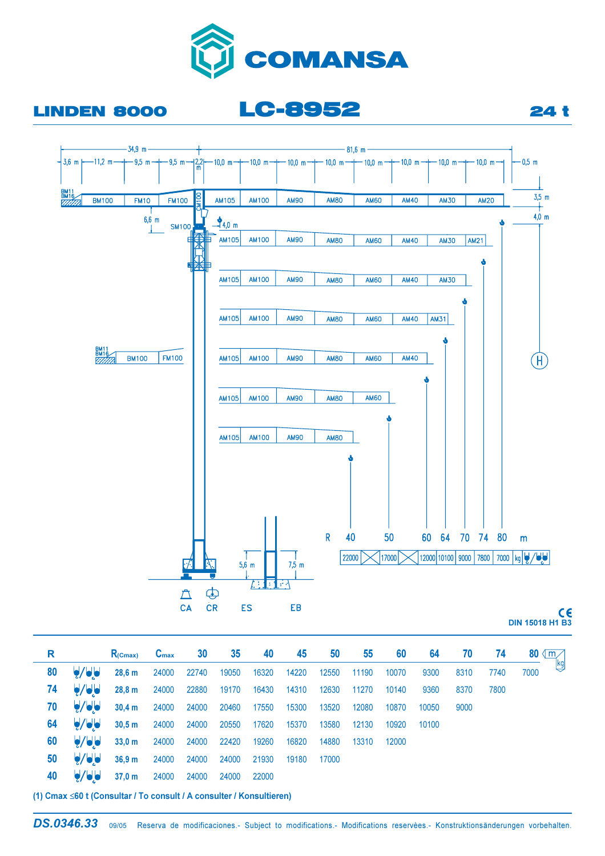

**LC-8952** 

## **LINDEN 8000**



**DIN 15018 H1 B3** 

**24 t** 

| R  |                                       | $R_{(Cmax)}$                               | $C_{\text{max}}$                    | $30\qquad 35$ | 40    | 45                  | <b>50</b> | 55    | 60    |       | 64 70 | - 74 | 80 $\mathbb{M}$ |
|----|---------------------------------------|--------------------------------------------|-------------------------------------|---------------|-------|---------------------|-----------|-------|-------|-------|-------|------|-----------------|
| 80 | $\bigtriangledown$ du                 | 28,6 m                                     | 24000 22740 19050 16320 14220 12550 |               |       |                     |           | 11190 | 10070 | 9300  | 8310  | 7740 | Lkg<br>7000     |
| 74 | $\bigcup$                             | 28,8 m 24000 22880 19170                   |                                     |               |       | 16430  14310  12630 |           | 11270 | 10140 | 9360  | 8370  | 7800 |                 |
| 70 | $\bigtriangledown$ $\bigtriangledown$ | 30,4 m 24000 24000 20460 17550 15300 13520 |                                     |               |       |                     |           | 12080 | 10870 | 10050 | 9000  |      |                 |
| 64 | $\bigtriangledown$ dd                 | 30,5 m 24000 24000 20550 17620 15370 13580 |                                     |               |       |                     |           | 12130 | 10920 | 10100 |       |      |                 |
| 60 | $\bigcup$                             | 33,0 m 24000 24000 22420 19260 16820 14880 |                                     |               |       |                     |           | 13310 | 12000 |       |       |      |                 |
| 50 | $\bigtriangledown$ de                 | 36,9 m                                     | 24000 24000 24000                   |               |       | 21930 19180 17000   |           |       |       |       |       |      |                 |
| 40 | $\bigtriangledown$ $\bigtriangledown$ | 37,0 m 24000 24000 24000                   |                                     |               | 22000 |                     |           |       |       |       |       |      |                 |

(1) Cmax ≤60 t (Consultar / To consult / A consulter / Konsultieren)